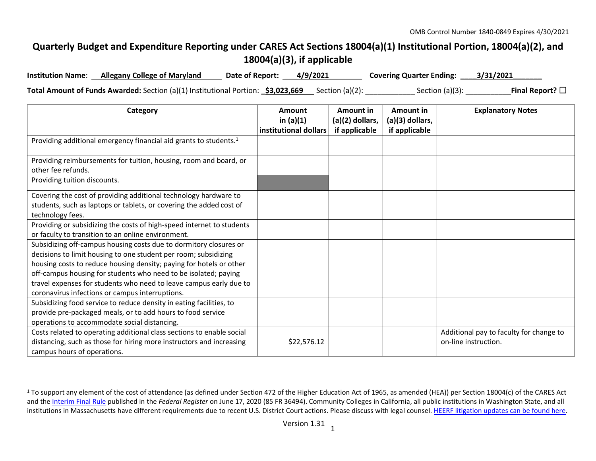## **Quarterly Budget and Expenditure Reporting under CARES Act Sections 18004(a)(1) Institutional Portion, 18004(a)(2), and 18004(a)(3), if applicable**

| <b>Institution Name:</b> | <b>Allegany College of Maryland</b>                                                                         | <b>Date of Report:</b> | 4/9/2021 | <b>Covering Quarter Ending: _</b> | 3/31/2021               |
|--------------------------|-------------------------------------------------------------------------------------------------------------|------------------------|----------|-----------------------------------|-------------------------|
|                          | Total Amount of Funds Awarded: Section (a)(1) Institutional Portion: <b>_\$3,023,669</b> __ Section (a)(2): |                        |          | Section $(a)(3)$ :                | Final Report? $\square$ |

| Category                                                                                                                                                                                                                                                                                                                                                                                                | Amount<br>in $(a)(1)$<br>institutional dollars | Amount in<br>(a)(2) dollars,<br>if applicable | Amount in<br>(a)(3) dollars,<br>if applicable | <b>Explanatory Notes</b>                                        |
|---------------------------------------------------------------------------------------------------------------------------------------------------------------------------------------------------------------------------------------------------------------------------------------------------------------------------------------------------------------------------------------------------------|------------------------------------------------|-----------------------------------------------|-----------------------------------------------|-----------------------------------------------------------------|
| Providing additional emergency financial aid grants to students. <sup>1</sup>                                                                                                                                                                                                                                                                                                                           |                                                |                                               |                                               |                                                                 |
| Providing reimbursements for tuition, housing, room and board, or<br>other fee refunds.                                                                                                                                                                                                                                                                                                                 |                                                |                                               |                                               |                                                                 |
| Providing tuition discounts.                                                                                                                                                                                                                                                                                                                                                                            |                                                |                                               |                                               |                                                                 |
| Covering the cost of providing additional technology hardware to<br>students, such as laptops or tablets, or covering the added cost of<br>technology fees.                                                                                                                                                                                                                                             |                                                |                                               |                                               |                                                                 |
| Providing or subsidizing the costs of high-speed internet to students<br>or faculty to transition to an online environment.                                                                                                                                                                                                                                                                             |                                                |                                               |                                               |                                                                 |
| Subsidizing off-campus housing costs due to dormitory closures or<br>decisions to limit housing to one student per room; subsidizing<br>housing costs to reduce housing density; paying for hotels or other<br>off-campus housing for students who need to be isolated; paying<br>travel expenses for students who need to leave campus early due to<br>coronavirus infections or campus interruptions. |                                                |                                               |                                               |                                                                 |
| Subsidizing food service to reduce density in eating facilities, to<br>provide pre-packaged meals, or to add hours to food service<br>operations to accommodate social distancing.                                                                                                                                                                                                                      |                                                |                                               |                                               |                                                                 |
| Costs related to operating additional class sections to enable social<br>distancing, such as those for hiring more instructors and increasing<br>campus hours of operations.                                                                                                                                                                                                                            | \$22,576.12                                    |                                               |                                               | Additional pay to faculty for change to<br>on-line instruction. |

<sup>&</sup>lt;sup>1</sup> To support any element of the cost of attendance (as defined under Section 472 of the Higher Education Act of 1965, as amended (HEA)) per Section 18004(c) of the CARES Act and th[e Interim Final Rule](https://www.federalregister.gov/documents/2020/06/17/2020-12965/eligibility-of-students-at-institutions-of-higher-education-for-funds-under-the-coronavirus-aid) published in the Federal Register on June 17, 2020 (85 FR 36494). Community Colleges in California, all public institutions in Washington State, and all institutions in Massachusetts have different requirements due to recent U.S. District Court actions. Please discuss with legal counsel[. HEERF litigation updates can be found here.](https://www2.ed.gov/about/offices/list/ope/heerfupdates.html)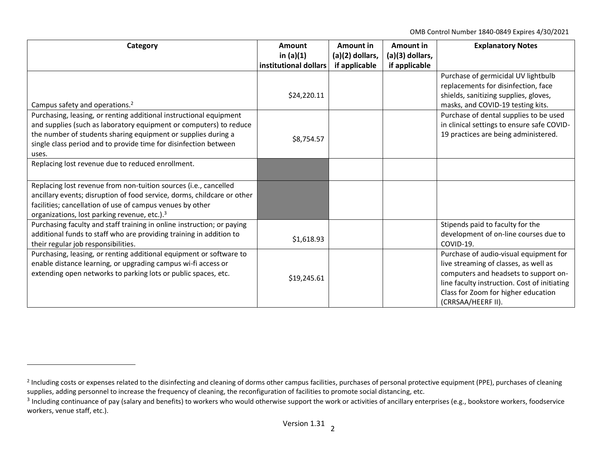OMB Control Number 1840-0849 Expires 4/30/2021

| Category                                                                | Amount<br>in $(a)(1)$ | Amount in<br>(a)(2) dollars, | Amount in<br>(a)(3) dollars, | <b>Explanatory Notes</b>                     |
|-------------------------------------------------------------------------|-----------------------|------------------------------|------------------------------|----------------------------------------------|
|                                                                         | institutional dollars | if applicable                | if applicable                |                                              |
|                                                                         |                       |                              |                              | Purchase of germicidal UV lightbulb          |
|                                                                         |                       |                              |                              | replacements for disinfection, face          |
|                                                                         | \$24,220.11           |                              |                              | shields, sanitizing supplies, gloves,        |
| Campus safety and operations. <sup>2</sup>                              |                       |                              |                              | masks, and COVID-19 testing kits.            |
| Purchasing, leasing, or renting additional instructional equipment      |                       |                              |                              | Purchase of dental supplies to be used       |
| and supplies (such as laboratory equipment or computers) to reduce      |                       |                              |                              | in clinical settings to ensure safe COVID-   |
| the number of students sharing equipment or supplies during a           | \$8,754.57            |                              |                              | 19 practices are being administered.         |
| single class period and to provide time for disinfection between        |                       |                              |                              |                                              |
| uses.                                                                   |                       |                              |                              |                                              |
| Replacing lost revenue due to reduced enrollment.                       |                       |                              |                              |                                              |
|                                                                         |                       |                              |                              |                                              |
| Replacing lost revenue from non-tuition sources (i.e., cancelled        |                       |                              |                              |                                              |
| ancillary events; disruption of food service, dorms, childcare or other |                       |                              |                              |                                              |
| facilities; cancellation of use of campus venues by other               |                       |                              |                              |                                              |
| organizations, lost parking revenue, etc.). <sup>3</sup>                |                       |                              |                              |                                              |
| Purchasing faculty and staff training in online instruction; or paying  |                       |                              |                              | Stipends paid to faculty for the             |
| additional funds to staff who are providing training in addition to     | \$1,618.93            |                              |                              | development of on-line courses due to        |
| their regular job responsibilities.                                     |                       |                              |                              | COVID-19.                                    |
| Purchasing, leasing, or renting additional equipment or software to     |                       |                              |                              | Purchase of audio-visual equipment for       |
| enable distance learning, or upgrading campus wi-fi access or           |                       |                              |                              | live streaming of classes, as well as        |
| extending open networks to parking lots or public spaces, etc.          | \$19,245.61           |                              |                              | computers and headsets to support on-        |
|                                                                         |                       |                              |                              | line faculty instruction. Cost of initiating |
|                                                                         |                       |                              |                              | Class for Zoom for higher education          |
|                                                                         |                       |                              |                              | (CRRSAA/HEERF II).                           |

<sup>&</sup>lt;sup>2</sup> Including costs or expenses related to the disinfecting and cleaning of dorms other campus facilities, purchases of personal protective equipment (PPE), purchases of cleaning supplies, adding personnel to increase the frequency of cleaning, the reconfiguration of facilities to promote social distancing, etc.

 $3$  Including continuance of pay (salary and benefits) to workers who would otherwise support the work or activities of ancillary enterprises (e.g., bookstore workers, foodservice workers, venue staff, etc.).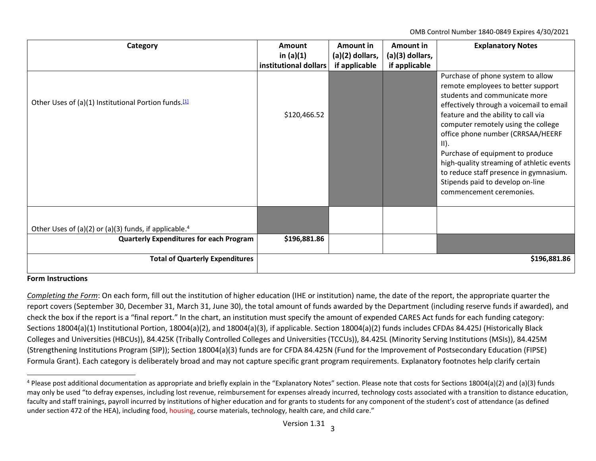OMB Control Number 1840-0849 Expires 4/30/2021

| Category                                                          | Amount                | Amount in       | Amount in         | <b>Explanatory Notes</b>                                                                                                                                                                                                                                                                                                   |
|-------------------------------------------------------------------|-----------------------|-----------------|-------------------|----------------------------------------------------------------------------------------------------------------------------------------------------------------------------------------------------------------------------------------------------------------------------------------------------------------------------|
|                                                                   | in $(a)(1)$           | (a)(2) dollars, | $(a)(3)$ dollars, |                                                                                                                                                                                                                                                                                                                            |
|                                                                   | institutional dollars | if applicable   | if applicable     |                                                                                                                                                                                                                                                                                                                            |
| Other Uses of (a)(1) Institutional Portion funds. <sup>[1]</sup>  |                       |                 |                   | Purchase of phone system to allow<br>remote employees to better support<br>students and communicate more<br>effectively through a voicemail to email                                                                                                                                                                       |
|                                                                   | \$120,466.52          |                 |                   | feature and the ability to call via<br>computer remotely using the college<br>office phone number (CRRSAA/HEERF<br>$\vert$ II).<br>Purchase of equipment to produce<br>high-quality streaming of athletic events<br>to reduce staff presence in gymnasium.<br>Stipends paid to develop on-line<br>commencement ceremonies. |
| Other Uses of (a)(2) or (a)(3) funds, if applicable. <sup>4</sup> |                       |                 |                   |                                                                                                                                                                                                                                                                                                                            |
| <b>Quarterly Expenditures for each Program</b>                    | \$196,881.86          |                 |                   |                                                                                                                                                                                                                                                                                                                            |
| <b>Total of Quarterly Expenditures</b>                            |                       |                 |                   | \$196,881.86                                                                                                                                                                                                                                                                                                               |

## **Form Instructions**

*Completing the Form*: On each form, fill out the institution of higher education (IHE or institution) name, the date of the report, the appropriate quarter the report covers (September 30, December 31, March 31, June 30), the total amount of funds awarded by the Department (including reserve funds if awarded), and check the box if the report is a "final report." In the chart, an institution must specify the amount of expended CARES Act funds for each funding category: Sections 18004(a)(1) Institutional Portion, 18004(a)(2), and 18004(a)(3), if applicable. Section 18004(a)(2) funds includes CFDAs 84.425J (Historically Black Colleges and Universities (HBCUs)), 84.425K (Tribally Controlled Colleges and Universities (TCCUs)), 84.425L (Minority Serving Institutions (MSIs)), 84.425M (Strengthening Institutions Program (SIP)); Section 18004(a)(3) funds are for CFDA 84.425N (Fund for the Improvement of Postsecondary Education (FIPSE) Formula Grant). Each category is deliberately broad and may not capture specific grant program requirements. Explanatory footnotes help clarify certain

<sup>&</sup>lt;sup>4</sup> Please post additional documentation as appropriate and briefly explain in the "Explanatory Notes" section. Please note that costs for Sections 18004(a)(2) and (a)(3) funds may only be used "to defray expenses, including lost revenue, reimbursement for expenses already incurred, technology costs associated with a transition to distance education, faculty and staff trainings, payroll incurred by institutions of higher education and for grants to students for any component of the student's cost of attendance (as defined under section 472 of the HEA), including food, housing, course materials, technology, health care, and child care."